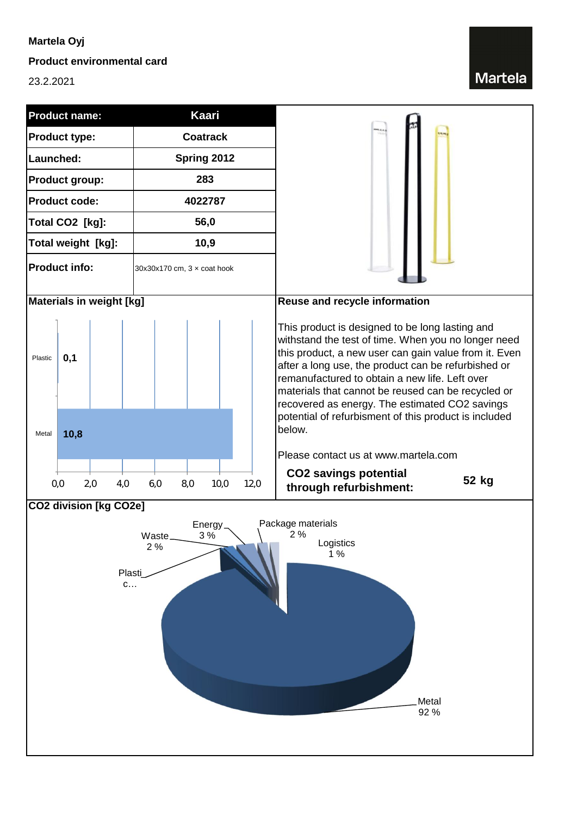## **Martela Oyj**

### **Product environmental card**

23.2.2021

# **Martela**